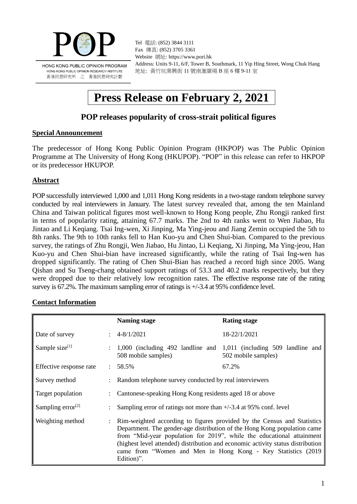

Tel 電話: (852) 3844 3111 Fax 傳真: (852) 3705 3361 Website 網址: https://www.pori.hk Address: Units 9-11, 6/F, Tower B, Southmark, 11 Yip Hing Street, Wong Chuk Hang 地址: 黃竹坑業興街 11 號南滙廣場 B 座 6 樓 9-11 室

# **Press Release on February 2, 2021**

# **POP releases popularity of cross-strait political figures**

#### **Special Announcement**

The predecessor of Hong Kong Public Opinion Program (HKPOP) was The Public Opinion Programme at The University of Hong Kong (HKUPOP). "POP" in this release can refer to HKPOP or its predecessor HKUPOP.

#### **Abstract**

POP successfully interviewed 1,000 and 1,011 Hong Kong residents in a two-stage random telephone survey conducted by real interviewers in January. The latest survey revealed that, among the ten Mainland China and Taiwan political figures most well-known to Hong Kong people, Zhu Rongji ranked first in terms of popularity rating, attaining 67.7 marks. The 2nd to 4th ranks went to Wen Jiabao, Hu Jintao and Li Keqiang. Tsai Ing-wen, Xi Jinping, Ma Ying-jeou and Jiang Zemin occupied the 5th to 8th ranks. The 9th to 10th ranks fell to Han Kuo-yu and Chen Shui-bian. Compared to the previous survey, the ratings of Zhu Rongji, Wen Jiabao, Hu Jintao, Li Keqiang, Xi Jinping, Ma Ying-jeou, Han Kuo-yu and Chen Shui-bian have increased significantly, while the rating of Tsai Ing-wen has dropped significantly. The rating of Chen Shui-Bian has reached a record high since 2005. Wang Qishan and Su Tseng-chang obtained support ratings of 53.3 and 40.2 marks respectively, but they were dropped due to their relatively low recognition rates. The effective response rate of the rating survey is 67.2%. The maximum sampling error of ratings is +/-3.4 at 95% confidence level.

#### **Contact Information**

|                               |                                                                                              | <b>Naming stage</b>                                                                                                                                                                                                                                                                                                                                                                            | <b>Rating stage</b> |  |
|-------------------------------|----------------------------------------------------------------------------------------------|------------------------------------------------------------------------------------------------------------------------------------------------------------------------------------------------------------------------------------------------------------------------------------------------------------------------------------------------------------------------------------------------|---------------------|--|
| Date of survey                |                                                                                              | $\pm 4 - 8/1/2021$                                                                                                                                                                                                                                                                                                                                                                             | 18-22/1/2021        |  |
| Sample size $[1]$             | : 1,000 (including 492 landline and 1,011 (including 509 landline and<br>508 mobile samples) |                                                                                                                                                                                                                                                                                                                                                                                                | 502 mobile samples) |  |
| Effective response rate       |                                                                                              | $: 58.5\%$                                                                                                                                                                                                                                                                                                                                                                                     | 67.2%               |  |
| Survey method                 |                                                                                              | : Random telephone survey conducted by real interviewers                                                                                                                                                                                                                                                                                                                                       |                     |  |
| Target population             |                                                                                              | Cantonese-speaking Hong Kong residents aged 18 or above                                                                                                                                                                                                                                                                                                                                        |                     |  |
| Sampling error <sup>[2]</sup> |                                                                                              | Sampling error of ratings not more than $+/-3.4$ at 95% conf. level                                                                                                                                                                                                                                                                                                                            |                     |  |
| Weighting method              |                                                                                              | Rim-weighted according to figures provided by the Census and Statistics<br>Department. The gender-age distribution of the Hong Kong population came<br>from "Mid-year population for 2019", while the educational attainment<br>(highest level attended) distribution and economic activity status distribution<br>came from "Women and Men in Hong Kong - Key Statistics (2019)<br>Edition)". |                     |  |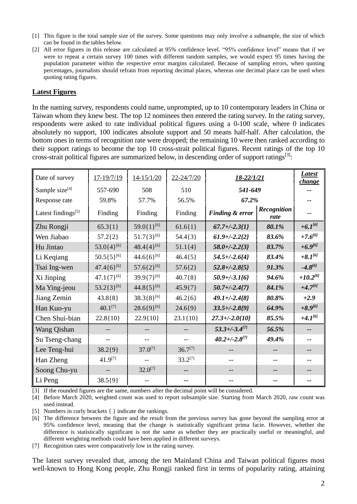- [1] This figure is the total sample size of the survey. Some questions may only involve a subsample, the size of which can be found in the tables below.
- [2] All error figures in this release are calculated at 95% confidence level. "95% confidence level" means that if we were to repeat a certain survey 100 times with different random samples, we would expect 95 times having the population parameter within the respective error margins calculated. Because of sampling errors, when quoting percentages, journalists should refrain from reporting decimal places, whereas one decimal place can be used when quoting rating figures.

#### **Latest Figures**

In the naming survey, respondents could name, unprompted, up to 10 contemporary leaders in China or Taiwan whom they knew best. The top 12 nominees then entered the rating survey. In the rating survey, respondents were asked to rate individual political figures using a 0-100 scale, where 0 indicates absolutely no support, 100 indicates absolute support and 50 means half-half. After calculation, the bottom ones in terms of recognition rate were dropped; the remaining 10 were then ranked according to their support ratings to become the top 10 cross-strait political figures. Recent ratings of the top 10 cross-strait political figures are summarized below, in descending order of support ratings<sup>[3]</sup>:

| Date of survey                 | $17 - 19/7/19$    | $14 - 15/1/20$         | $22 - 24/7/20$ | <u>18-22/1/21</u>    |                     | Latest<br><i>change</i> |
|--------------------------------|-------------------|------------------------|----------------|----------------------|---------------------|-------------------------|
| Sample size $[4]$              | 557-690           | 508                    | 510            | 541-649              |                     |                         |
| Response rate                  | 59.8%             | 57.7%                  | 56.5%          | 67.2%                |                     |                         |
| Latest findings <sup>[5]</sup> | Finding           | Finding                | Finding        | Finding & error      | Recognition<br>rate |                         |
| Zhu Rongji                     | $65.3{1}$         | 59.0{1} <sup>[6]</sup> | $61.6{1}$      | $67.7 + (-2.3)$      | 80.1%               | $+6.1^{[6]}$            |
| Wen Jiabao                     | $57.2{2}$         | $51.7\{3\}^{[6]}$      | $54.4\{3\}$    | $61.9 + (-2.222)$    | 83.6%               | $+7.6^{[6]}$            |
| Hu Jintao                      | $53.0\{4\}^{[6]}$ | $48.4\{4\}^{[6]}$      | $51.1{4}$      | $58.0 + (-2.2{3})$   | 83.7%               | $+6.9^{[6]}$            |
| Li Keqiang                     | $50.5\{5\}^{[6]}$ | $44.6\{6\}^{[6]}$      | $46.4\{5\}$    | $54.5 + (-2.6)4$     | 83.4%               | $+8.1^{[6]}$            |
| Tsai Ing-wen                   | $47.4\{6\}^{[6]}$ | $57.6\{2\}^{[6]}$      | $57.6{2}$      | $52.8 + (-2.8)5$     | 91.3%               | $-4.8^{[6]}$            |
| Xi Jinping                     | $47.1\{7\}^{[6]}$ | $39.9{7}^{[6]}$        | $40.7\{8\}$    | $50.9 + (-3.1)$      | 94.6%               | $+10.2^{[6]}$           |
| Ma Ying-jeou                   | $53.2\{3\}^{[6]}$ | 44.8 $\{5\}^{[6]}$     | $45.9{7}$      | $50.7 + (-2.47)$     | 84.1%               | $+4.7^{[6]}$            |
| Jiang Zemin                    | $43.8\{8\}$       | $38.3\{8\}^{[6]}$      | $46.2{6}$      | $49.1 + (-2.418)$    | 80.8%               | $+2.9$                  |
| Han Kuo-yu                     | $40.1^{[7]}$      | $28.6\{9\}^{[6]}$      | $24.6{9}$      | $33.5 + (-2.8)^9$    | 64.9%               | $+8.9^{[6]}$            |
| Chen Shui-bian                 | 22.8{10}          | 22.9{10}               | $23.1\{10\}$   | $27.3 + (-2.0{10}$   | 85.5%               | $+4.1^{[6]}$            |
| Wang Qishan                    |                   |                        |                | $53.3 + (-3.4^{[7]}$ | 56.5%               |                         |
| Su Tseng-chang                 |                   |                        |                | $40.2 + (-2.8^{[7]}$ | 49.4%               |                         |
| Lee Teng-hui                   | $38.2{9}$         | $37.0^{[7]}$           | $36.7^{[7]}$   |                      |                     |                         |
| Han Zheng                      | 41.9[7]           |                        | $33.2^{[7]}$   |                      |                     |                         |
| Soong Chu-yu                   |                   | $32.0^{[7]}$           |                |                      |                     |                         |
| Li Peng                        | $38.5{9}$         |                        |                |                      |                     |                         |

[3] If the rounded figures are the same, numbers after the decimal point will be considered.

[4] Before March 2020, weighted count was used to report subsample size. Starting from March 2020, raw count was used instead.

[5] Numbers in curly brackets { } indicate the rankings.

[6] The difference between the figure and the result from the previous survey has gone beyond the sampling error at 95% confidence level, meaning that the change is statistically significant prima facie. However, whether the difference is statistically significant is not the same as whether they are practically useful or meaningful, and different weighting methods could have been applied in different surveys.

[7] Recognition rates were comparatively low in the rating survey.

The latest survey revealed that, among the ten Mainland China and Taiwan political figures most well-known to Hong Kong people. Zhu Rongji ranked first in terms of popularity rating, attaining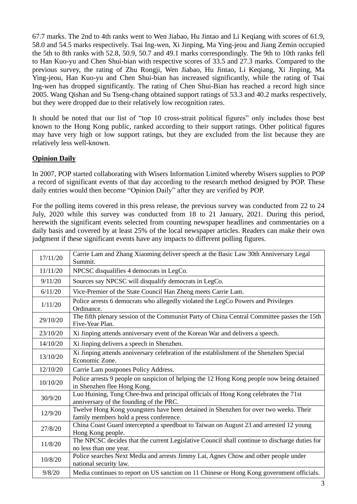67.7 marks. The 2nd to 4th ranks went to Wen Jiabao, Hu Jintao and Li Keqiang with scores of 61.9, 58.0 and 54.5 marks respectively. Tsai Ing-wen, Xi Jinping, Ma Ying-jeou and Jiang Zemin occupied the 5th to 8th ranks with 52.8, 50.9, 50.7 and 49.1 marks correspondingly. The 9th to 10th ranks fell to Han Kuo-yu and Chen Shui-bian with respective scores of 33.5 and 27.3 marks. Compared to the previous survey, the rating of Zhu Rongji, Wen Jiabao, Hu Jintao, Li Keqiang, Xi Jinping, Ma Ying-jeou, Han Kuo-yu and Chen Shui-bian has increased significantly, while the rating of Tsai Ing-wen has dropped significantly. The rating of Chen Shui-Bian has reached a record high since 2005. Wang Qishan and Su Tseng-chang obtained support ratings of 53.3 and 40.2 marks respectively, but they were dropped due to their relatively low recognition rates.

It should be noted that our list of "top 10 cross-strait political figures" only includes those best known to the Hong Kong public, ranked according to their support ratings. Other political figures may have very high or low support ratings, but they are excluded from the list because they are relatively less well-known.

### **Opinion Daily**

In 2007, POP started collaborating with Wisers Information Limited whereby Wisers supplies to POP a record of significant events of that day according to the research method designed by POP. These daily entries would then become "Opinion Daily" after they are verified by POP.

For the polling items covered in this press release, the previous survey was conducted from 22 to 24 July, 2020 while this survey was conducted from 18 to 21 January, 2021. During this period, herewith the significant events selected from counting newspaper headlines and commentaries on a daily basis and covered by at least 25% of the local newspaper articles. Readers can make their own judgment if these significant events have any impacts to different polling figures.

| 17/11/20 | Carrie Lam and Zhang Xiaoming deliver speech at the Basic Law 30th Anniversary Legal<br>Summit.                                 |
|----------|---------------------------------------------------------------------------------------------------------------------------------|
| 11/11/20 | NPCSC disqualifies 4 democrats in LegCo.                                                                                        |
| 9/11/20  | Sources say NPCSC will disqualify democrats in LegCo.                                                                           |
| 6/11/20  | Vice-Premier of the State Council Han Zheng meets Carrie Lam.                                                                   |
| 1/11/20  | Police arrests 6 democrats who allegedly violated the LegCo Powers and Privileges<br>Ordinance.                                 |
| 29/10/20 | The fifth plenary session of the Communist Party of China Central Committee passes the 15th<br>Five-Year Plan.                  |
| 23/10/20 | Xi Jinping attends anniversary event of the Korean War and delivers a speech.                                                   |
| 14/10/20 | Xi Jinping delivers a speech in Shenzhen.                                                                                       |
| 13/10/20 | Xi Jinping attends anniversary celebration of the establishment of the Shenzhen Special<br>Economic Zone.                       |
| 12/10/20 | Carrie Lam postpones Policy Address.                                                                                            |
| 10/10/20 | Police arrests 9 people on suspicion of helping the 12 Hong Kong people now being detained<br>in Shenzhen flee Hong Kong.       |
| 30/9/20  | Luo Huining, Tung Chee-hwa and principal officials of Hong Kong celebrates the 71st<br>anniversary of the founding of the PRC.  |
| 12/9/20  | Twelve Hong Kong youngsters have been detained in Shenzhen for over two weeks. Their<br>family members hold a press conference. |
| 27/8/20  | China Coast Guard intercepted a speedboat to Taiwan on August 23 and arrested 12 young<br>Hong Kong people.                     |
| 11/8/20  | The NPCSC decides that the current Legislative Council shall continue to discharge duties for<br>no less than one year.         |
| 10/8/20  | Police searches Next Media and arrests Jimmy Lai, Agnes Chow and other people under<br>national security law.                   |
| 9/8/20   | Media continues to report on US sanction on 11 Chinese or Hong Kong government officials.                                       |